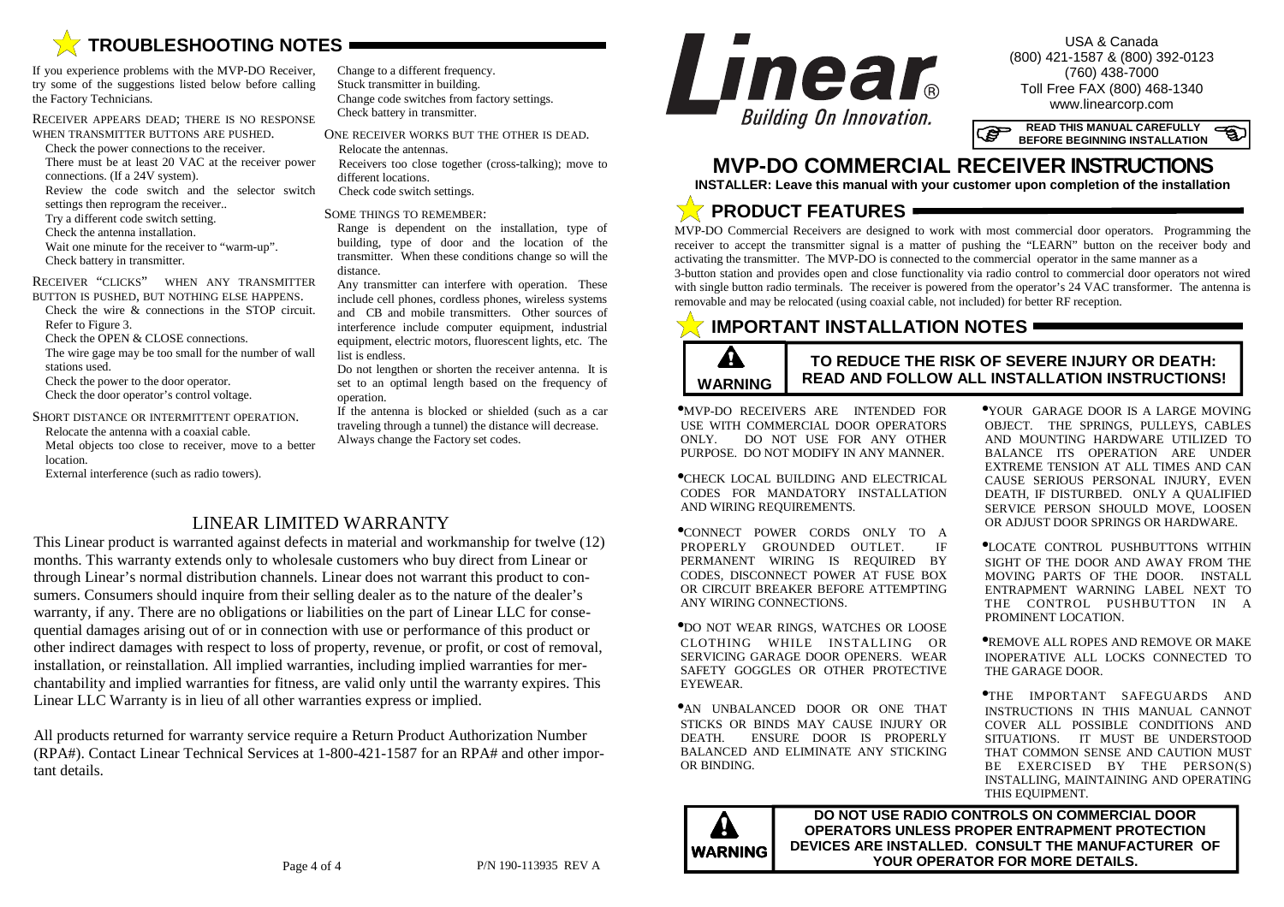

If you experience problems with the MVP-DO Receiver, try some of the suggestions listed below before calling the Factory Technicians.

RECEIVER APPEARS DEAD; THERE IS NO RESPONSE WHEN TRANSMITTER BUTTONS ARE PUSHED.

Check the power connections to the receiver. There must be at least 20 VAC at the receiver powerconnections. (If a 24V system). Review the code switch and the selector switch settings then reprogram the receiver.. Try a different code switch setting. Check the antenna installation.

 Wait one minute for the receiver to "warm-up". Check battery in transmitter.

RECEIVER "CLICKS" WHEN ANY TRANSMITTER

BUTTON IS PUSHED, BUT NOTHING ELSE HAPPENS. Check the wire & connections in the STOP circuit. Refer to Figure 3.

Check the OPEN & CLOSE connections.

 The wire gage may be too small for the number of wall stations used.

Check the power to the door operator.

Check the door operator's control voltage.

SHORT DISTANCE OR INTERMITTENT OPERATION.

Relocate the antenna with a coaxial cable.

Metal objects too close to receiver, move to a better

location.

External interference (such as radio towers).

Change to a different frequency. Stuck transmitter in building. Change code switches from factory settings. Check battery in transmitter.

ONE RECEIVER WORKS BUT THE OTHER IS DEAD. Relocate the antennas.

 Receivers too close together (cross-talking); move to different locations.

Check code switch settings.

SOME THINGS TO REMEMBER:

Range is dependent on the installation, type of building, type of door and the location of the transmitter. When these conditions change so will the distance.

 Any transmitter can interfere with operation. These include cell phones, cordless phones, wireless systems and CB and mobile transmitters. Other sources of interference include computer equipment, industrial equipment, electric motors, fluorescent lights, etc. The list is endless.

 Do not lengthen or shorten the receiver antenna. It is set to an optimal length based on the frequency of operation.

 If the antenna is blocked or shielded (such as a car traveling through a tunnel) the distance will decrease. Always change the Factory set codes.

## LINEAR LIMITED WARRANTY

 This Linear product is warranted against defects in material and workmanship for twelve (12) months. This warranty extends only to wholesale customers who buy direct from Linear or through Linear's normal distribution channels. Linear does not warrant this product to consumers. Consumers should inquire from their selling dealer as to the nature of the dealer's warranty, if any. There are no obligations or liabilities on the part of Linear LLC for consequential damages arising out of or in connection with use or performance of this product or other indirect damages with respect to loss of property, revenue, or profit, or cost of removal, installation, or reinstallation. All implied warranties, including implied warranties for merchantability and implied warranties for fitness, are valid only until the warranty expires. This Linear LLC Warranty is in lieu of all other warranties express or implied.

All products returned for warranty service require a Return Product Authorization Number (RPA#). Contact Linear Technical Services at 1-800-421-1587 for an RPA# and other important details.



 (800) 421-1587 & (800) 392-0123 (760) 438-7000 Toll Free FAX (800) 468-1340 www.linearcorp.com

USA & Canada

**READ THIS MANUAL CAREFULLY BEFORE BEGINNING INSTALLATION** 

# **MVP-DO COMMERCIAL RECEIVER INSTRUCTIONS**

**INSTALLER: Leave this manual with your customer upon completion of the installation**

# **PRODUCT FEATURES**

MVP-DO Commercial Receivers are designed to work with most commercial door operators. Programming the receiver to accept the transmitter signal is a matter of pushing the "LEARN" button on the receiver body and activating the transmitter. The MVP-DO is connected to the commercial operator in the same manner as a

 3-button station and provides open and close functionality via radio control to commercial door operators not wired with single button radio terminals. The receiver is powered from the operator's 24 VAC transformer. The antenna is removable and may be relocated (using coaxial cable, not included) for better RF reception.

# **IMPORTANT INSTALLATION NOTES**

## A **WARNING**

**TO REDUCE THE RISK OF SEVERE INJURY OR DEATH: READ AND FOLLOW ALL INSTALLATION INSTRUCTIONS!** 

- •MVP-DO RECEIVERS ARE INTENDED FOR USE WITH COMMERCIAL DOOR OPERATORS ONLY. DO NOT USE FOR ANY OTHER PURPOSE. DO NOT MODIFY IN ANY MANNER.
- •CHECK LOCAL BUILDING AND ELECTRICAL CODES FOR MANDATORY INSTALLATION AND WIRING REQUIREMENTS.
- •CONNECT POWER CORDS ONLY TO A PROPERLY GROUNDED OUTLET. IF PERMANENT WIRING IS REQUIRED BY CODES, DISCONNECT POWER AT FUSE BOX OR CIRCUIT BREAKER BEFORE ATTEMPTING ANY WIRING CONNECTIONS.
- •DO NOT WEAR RINGS, WATCHES OR LOOSE CLOTHING WHILE INSTALLING OR SERVICING GARAGE DOOR OPENERS. WEAR SAFETY GOGGLES OR OTHER PROTECTIVE EYEWEAR.
- •AN UNBALANCED DOOR OR ONE THAT STICKS OR BINDS MAY CAUSE INJURY OR DEATH. ENSURE DOOR IS PROPERLY BALANCED AND ELIMINATE ANY STICKING OR BINDING.
- •YOUR GARAGE DOOR IS A LARGE MOVING OBJECT. THE SPRINGS, PULLEYS, CABLES AND MOUNTING HARDWARE UTILIZED TO BALANCE ITS OPERATION ARE UNDER EXTREME TENSION AT ALL TIMES AND CAN CAUSE SERIOUS PERSONAL INJURY, EVEN DEATH, IF DISTURBED. ONLY A QUALIFIED SERVICE PERSON SHOULD MOVE, LOOSEN OR ADJUST DOOR SPRINGS OR HARDWARE.
- •LOCATE CONTROL PUSHBUTTONS WITHIN SIGHT OF THE DOOR AND AWAY FROM THE MOVING PARTS OF THE DOOR. INSTALL ENTRAPMENT WARNING LABEL NEXT TO THE CONTROL PUSHBUTTON IN A PROMINENT LOCATION.
- •REMOVE ALL ROPES AND REMOVE OR MAKE INOPERATIVE ALL LOCKS CONNECTED TO THE GARAGE DOOR.
- •THE IMPORTANT SAFEGUARDS AND INSTRUCTIONS IN THIS MANUAL CANNOT COVER ALL POSSIBLE CONDITIONS AND SITUATIONS. IT MUST BE UNDERSTOOD THAT COMMON SENSE AND CAUTION MUST BE EXERCISED BY THE PERSON(S) INSTALLING, MAINTAINING AND OPERATING THIS EQUIPMENT.



**DO NOT USE RADIO CONTROLS ON COMMERCIAL DOOR OPERATORS UNLESS PROPER ENTRAPMENT PROTECTION DEVICES ARE INSTALLED. CONSULT THE MANUFACTURER OF WARNING** DEVICES ARE INSTALLED. CONSULT THE MANUFA